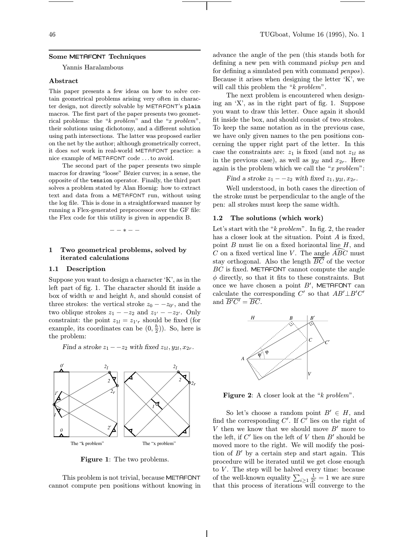#### Some METAFONT Techniques

Yannis Haralambous

#### Abstract

This paper presents a few ideas on how to solve certain geometrical problems arising very often in character design, not directly solvable by METAFONT's plain macros. The first part of the paper presents two geometrical problems: the "k problem" and the "x problem", their solutions using dichotomy, and a different solution using path intersections. The latter was proposed earlier on the net by the author; although geometrically correct, it does not work in real-world METAFONT practice: a nice example of METAFONT code . . . to avoid.

The second part of the paper presents two simple macros for drawing "loose" Bézier curves; in a sense, the opposite of the tension operator. Finally, the third part solves a problem stated by Alan Hoenig: how to extract text and data from a METAFONT run, without using the log file. This is done in a straightforward manner by running a Flex-generated preprocessor over the GF file: the Flex code for this utility is given in appendix B.

−−∗−−

## 1 Two geometrical problems, solved by iterated calculations

### 1.1 Description

Suppose you want to design a character 'K', as in the left part of fig. 1. The character should fit inside a box of width  $w$  and height  $h$ , and should consist of three strokes: the vertical stroke  $z_0 - z_0$ , and the two oblique strokes  $z_1 - z_2$  and  $z_{1'} - z_{2'}$ . Only constraint: the point  $z_{1l} = z_{1'r}$  should be fixed (for example, its coordinates can be  $(0, \frac{h}{2})$ ). So, here is the problem:

Find a stroke  $z_1 - z_2$  with fixed  $z_{1l}$ ,  $y_{2l}$ ,  $x_{2r}$ .



Figure 1: The two problems.

This problem is not trivial, because METAFONT cannot compute pen positions without knowing in advance the angle of the pen (this stands both for defining a new pen with command *pickup pen* and for defining a simulated pen with command *penpos*). Because it arises when designing the letter 'K', we will call this problem the "k problem".

The next problem is encountered when designing an 'X', as in the right part of fig. 1. Suppose you want to draw this letter. Once again it should fit inside the box, and should consist of two strokes. To keep the same notation as in the previous case, we have only given names to the pen positions concerning the upper right part of the letter. In this case the constraints are:  $z_1$  is fixed (and not  $z_{1l}$  as in the previous case), as well as  $y_{2l}$  and  $x_{2r}$ . Here again is the problem which we call the " $x$  problem":

Find a stroke  $z_1 - z_2$  with fixed  $z_1, y_{2l}, x_{2r}$ .

Well understood, in both cases the direction of the stroke must be perpendicular to the angle of the pen: all strokes must keep the same width.

#### 1.2 The solutions (which work)

Let's start with the "k problem". In fig. 2, the reader has a closer look at the situation. Point A is fixed, point  $B$  must lie on a fixed horizontal line  $H$ , and C on a fixed vertical line V. The angle  $\widehat{ABC}$  must stay orthogonal. Also the length  $\overline{BC}$  of the vector BC is fixed. METAFONT cannot compute the angle  $\phi$  directly, so that it fits to these constraints. But once we have chosen a point  $B'$ , METAFONT can calculate the corresponding  $C'$  so that  $AB' \perp B'C'$ and  $\overline{B'C'} = \overline{BC}$ .



Figure 2: A closer look at the "k problem".

So let's choose a random point  $B' \in H$ , and find the corresponding  $C'$ . If  $C'$  lies on the right of  $V$  then we know that we should move  $B'$  more to the left, if  $C'$  lies on the left of  $V$  then  $B'$  should be moved more to the right. We will modify the position of  $B'$  by a certain step and start again. This procedure will be iterated until we get close enough to  $V$ . The step will be halved every time: because of the well-known equality  $\sum_{i\geq 1} \frac{1}{2^i} = 1$  we are sure that this process of iterations will converge to the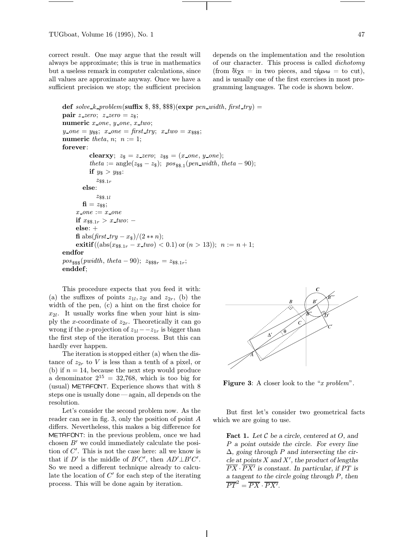correct result. One may argue that the result will always be approximate; this is true in mathematics but a useless remark in computer calculations, since all values are approximate anyway. Once we have a sufficient precision we stop; the sufficient precision

depends on the implementation and the resolution of our character. This process is called dichotomy (from  $\delta$ i $\chi$ α = in two pieces, and τέμνω = to cut), and is usually one of the first exercises in most programming languages. The code is shown below.

```
def solve k problem(suffix \$, \$\, \\s\s\expr\pen_width, first_try) =
pair z-zero; z-zero = z$;
numeric x\_one, y\_one, x\_two;
y\_{one} = y_{\$}\; ; \; x\_{one} = \text{first\_try}; \; x\_{two} = x_{\$}\; ;numeric theta, n; n := 1;
forever:
           clearxy; z_{\$} = z zero; z_{\$} = (x \text{ on } e, y \text{ on } e);theta := angle(z_{ss} - z_s); \ pos_{ss,1}(pen\_width, theta - 90);if y_{\$} > y_{\$}\$:
              z_{\$}\_{1r}else:
              z_{\$\$.1l}f_1 = z_{\$}\;
     x\_{one} := x\_{one}if x_{\$}\$,1r} > x_{\_}two: -else: +
     fi abs(first\_try - x_{\$})/(2 ** n);exitif((abs(x_{ss,1r} - x_{two}) < 0.1) or (n > 13)); n := n + 1;
endfor
pos_{\$}\$(pwidth, theta - 90); z_{\$}\$r} = z_{\$}\r{r};
enddef;
```
This procedure expects that you feed it with: (a) the suffixes of points  $z_{1l}, z_{2l}$  and  $z_{2r}$ , (b) the width of the pen, (c) a hint on the first choice for  $x_{2l}$ . It usually works fine when your hint is simply the x-coordinate of  $z_{2r}$ . Theoretically it can go wrong if the x-projection of  $z_{1l}-z_{1r}$  is bigger than the first step of the iteration process. But this can hardly ever happen.

The iteration is stopped either (a) when the distance of  $z_{2r}$  to V is less than a tenth of a pixel, or (b) if  $n = 14$ , because the next step would produce a denominator  $2^{15} = 32,768$ , which is too big for (usual) METAFONT. Experience shows that with 8 steps one is usually done — again, all depends on the resolution.

Let's consider the second problem now. As the reader can see in fig. 3, only the position of point A differs. Nevertheless, this makes a big difference for METAFONT: in the previous problem, once we had chosen  $B'$  we could immediately calculate the position of  $C'$ . This is not the case here: all we know is that if D' is the middle of  $B'C'$ , then  $AD' \perp B'C'$ . So we need a different technique already to calculate the location of  $C'$  for each step of the iterating process. This will be done again by iteration.



Figure 3: A closer look to the "x problem".

But first let's consider two geometrical facts which we are going to use.

**Fact 1.** Let  $\mathcal C$  be a circle, centered at  $O$ , and P a point outside the circle. For every line  $\Delta$ , going through P and intersecting the cir $cle$  at points  $X$  and  $X'$ , the product of lengths  $\overline{PX} \cdot \overline{PX'}$  is constant. In particular, if PT is a tangent to the circle going through P, then  $\overline{PT}^2 = \overline{PX} \cdot \overline{PX'}$ .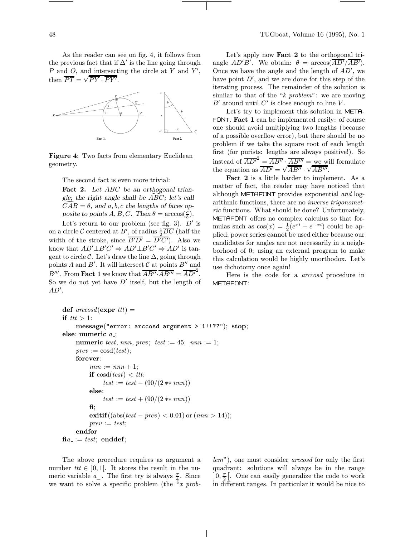As the reader can see on fig. 4, it follows from the previous fact that if  $\Delta'$  is the line going through  $P$  and  $O$ , and intersecting the circle at  $Y$  and  $Y'$ , then  $\overline{PT} = \sqrt{\overline{PY} \cdot \overline{PY'}}$ .



Figure 4: Two facts from elementary Euclidean geometry.

The second fact is even more trivial:

Fact 2. Let ABC be an orthogonal triangle; the right angle shall be  $\widehat{ABC}$ ; let's call  $\overline{CAB} = \theta$ , and a, b, c the lengths of faces opposite to points  $A, B, C$ . Then  $\theta = \arccos(\frac{c}{b})$ .

Let's return to our problem (see fig. 3).  $D'$  is on a circle  $\mathcal C$  centered at  $B'$ , of radius  $\frac{1}{2}\overline{BC}$  (half the width of the stroke, since  $\overline{B'D'} = \overline{D'C'}$ . Also we know that  $AD' \perp B'C' \Rightarrow AD' \perp B'C' \Rightarrow AD'$  is tangent to circle  $\mathcal C$ . Let's draw the line  $\Delta$ , going through points A and B'. It will intersect C at points  $B''$  and  $B^{\prime\prime\prime}$ . From **Fact 1** we know that  $\overline{AB^{\prime\prime}}\cdot\overline{AB^{\prime\prime\prime}} = \overline{AD^{\prime}}^2$ . So we do not yet have  $D'$  itself, but the length of  $AD^{\prime}$ .

Let's apply now **Fact 2** to the orthogonal triangle  $AD'B'$ . We obtain:  $\theta = \arccos(\overline{AD'}/\overline{AB'})$ . Once we have the angle and the length of  $AD'$ , we have point  $D'$ , and we are done for this step of the iterating process. The remainder of the solution is similar to that of the " $k$  problem": we are moving  $B'$  around until  $C'$  is close enough to line  $V$ .

Let's try to implement this solution in META-FONT. Fact 1 can be implemented easily: of course one should avoid multiplying two lengths (because of a possible overflow error), but there should be no problem if we take the square root of each length first (for purists: lengths are always positive!). So instead of  $\overline{AD'}^2 = \overline{AB''} \cdot \overline{AB'''} = \underline{\overline{we}}$  will formulate the equation as  $\overline{AD'} = \sqrt{\overline{AB''}} \cdot \sqrt{\overline{AB''}}$ .

Fact 2 is a little harder to implement. As a matter of fact, the reader may have noticed that although METAFONT provides exponential and logarithmic functions, there are no inverse trigonometric functions. What should be done? Unfortunately, METAFONT offers no complex calculus so that formulas such as  $cos(x) = \frac{1}{2}(e^{xi} + e^{-xi})$  could be applied; power series cannot be used either because our candidates for angles are not necessarily in a neighborhood of 0; using an external program to make this calculation would be highly unorthodox. Let's use dichotomy once again!

Here is the code for a arccosd procedure in METAFONT:

```
def \textit{arccosd}(\textbf{expr } ttt) =
if tt > 1:
    message("error: arccosd argument > 1!!??"); stop;
else: numeric a ;
    numeric test, nnn, prev; test := 45; nnn := 1;
    prev := \cosh(test);forever:
         nnn := nnn + 1;if \cos(dtest) < ttt:
              test := test - (90/(2 * * nnn))else:
              test := test + (90/(2 * * nnn))fi;
         exitif((abs(test – prev) < 0.01) or (nnn > 14);
         prev := test;endfor
\mathbf{f}ia := test; enddef;
```
The above procedure requires as argument a number  $tt \in [0,1]$ . It stores the result in the numeric variable  $a_{-}$ . The first try is always  $\frac{\pi}{4}$ . Since we want to solve a specific problem (the " $x$  problem"), one must consider arccosd for only the first quadrant: solutions will always be in the range  $\int_0^{\frac{\pi}{2}}$ . One can easily generalize the code to work in different ranges. In particular it would be nice to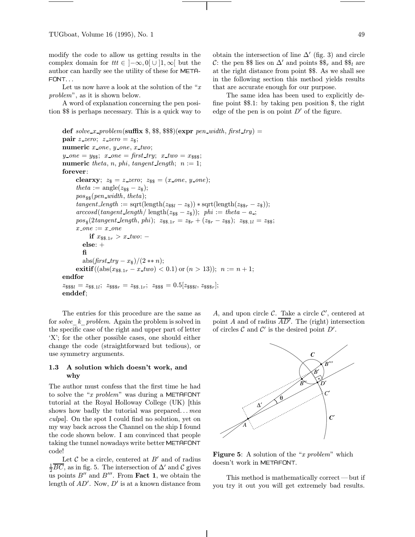modify the code to allow us getting results in the complex domain for  $tt \in [-\infty, 0] \cup [1, \infty]$  but the author can hardly see the utility of these for META-FONT...

Let us now have a look at the solution of the " $x$ " problem", as it is shown below.

A word of explanation concerning the pen position \$\$ is perhaps necessary. This is a quick way to

obtain the intersection of line  $\Delta'$  (fig. 3) and circle C: the pen \$\$ lies on  $\Delta'$  and points  $\mathcal{S}_r$  and  $\mathcal{S}_l$  are at the right distance from point \$\$. As we shall see in the following section this method yields results that are accurate enough for our purpose.

The same idea has been used to explicitly define point \$\$.1: by taking pen position \$, the right edge of the pen is on point  $D'$  of the figure.

```
def solve x_problem(suffix \$, \$\, \\)(expr pen_width, first_try) =
pair z-zero; z-zero = z<sub>$</sub>;
numeric x\_{one}, y\_{one}, x\_{two};
y\_{one} = y_{ss}; x\_{one} = \text{first\_try}; x\_{two} = x_{sss};numeric theta, n, phi, tangent length; n := 1;
forever:
      clearxy; z_{\$} = z\_zero; z_{\$} = (x\_one, y\_one);theta := \text{angle}(z_{\text{ss}} - z_{\text{s}});pos_{\$}\(pen_width, theta);
      tangent\_length := \sqrt{\text{sqrt}(\text{length}(z_{\text{S\#1}} - z_{\text{S}})) \cdot \text{sqrt}(\text{length}(z_{\text{S\#2}} - z_{\text{S}}))};arccosd(tangent\_length/\ length(z_{\ - z_{\$})); \phi h := theta - a_{\rightarrow};
       pos_{\$\left(2tangent\_length, \,phi\right)$}; z_{\$\$\,1r} = z_{\$\,r} + (z_{\$\,r} - z_{\$\,s}); z_{\$\$\,1l} = z_{\$\,s};
      x \text{ on } e := x \text{ on } eif x_{\$}\$,1r} > x_{\_}two: -else: +
          fi
          abs(first\_try - x_{\$})/(2 ** n);exitif((abs(x_{\text{ss},1r} - x \text{ two}) < 0.1) or (n > 13)); n := n + 1;
endfor
z_{\$\$\$1} = z_{\$\$.\,1l};\ \ z_{\$\$s\}r} = z_{\$\$,\,1r};\ \ z_{\$\$\$} = 0.5[z_{\$\$\$l},\ z_{\$\$\$r}];enddef;
```
The entries for this procedure are the same as for solve  $k$  problem. Again the problem is solved in the specific case of the right and upper part of letter 'X'; for the other possible cases, one should either change the code (straightforward but tedious), or use symmetry arguments.

### 1.3 A solution which doesn't work, and why

The author must confess that the first time he had to solve the "x problem" was during a METAFONT tutorial at the Royal Holloway College (UK) [this shows how badly the tutorial was prepared...  $mea$ culpa]. On the spot I could find no solution, yet on my way back across the Channel on the ship I found the code shown below. I am convinced that people taking the tunnel nowadays write better METAFONT code!

Let  $\mathcal C$  be a circle, centered at  $B'$  and of radius  $\frac{1}{2}\overline{BC}$ , as in fig. 5. The intersection of  $\Delta'$  and  $\mathcal C$  gives us points  $B''$  and  $B'''$ . From **Fact 1**, we obtain the length of  $AD'$ . Now,  $D'$  is at a known distance from

A, and upon circle  $\mathcal{C}$ . Take a circle  $\mathcal{C}'$ , centered at point A and of radius  $\overline{AD'}$ . The (right) intersection of circles  $C$  and  $C'$  is the desired point  $D'$ .



**Figure 5:** A solution of the " $x$  problem" which doesn't work in METAFONT.

This method is mathematically correct— but if you try it out you will get extremely bad results.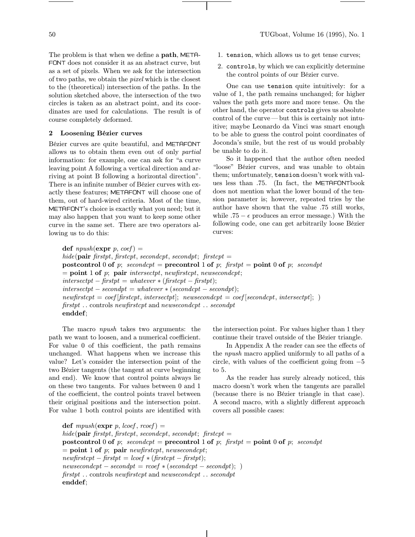The problem is that when we define a path, META-FONT does not consider it as an abstract curve, but as a set of pixels. When we ask for the intersection of two paths, we obtain the pixel which is the closest to the (theoretical) intersection of the paths. In the solution sketched above, the intersection of the two circles is taken as an abstract point, and its coordinates are used for calculations. The result is of course completely deformed.

### 2 Loosening Bézier curves

Bézier curves are quite beautiful, and METAFONT allows us to obtain them even out of only partial information: for example, one can ask for "a curve leaving point A following a vertical direction and arriving at point B following a horizontal direction". There is an infinite number of Bézier curves with exactly these features; METAFONT will choose one of them, out of hard-wired criteria. Most of the time, METAFONT's choice is exactly what you need; but it may also happen that you want to keep some other curve in the same set. There are two operators allowing us to do this:

- 1. tension, which allows us to get tense curves;
- 2. controls, by which we can explicitly determine the control points of our Bézier curve.

One can use tension quite intuitively: for a value of 1, the path remains unchanged; for higher values the path gets more and more tense. On the other hand, the operator controls gives us absolute control of the curve — but this is certainly not intuitive; maybe Leonardo da Vinci was smart enough to be able to guess the control point coordinates of Joconda's smile, but the rest of us would probably be unable to do it.

So it happened that the author often needed "loose" Bézier curves, and was unable to obtain them; unfortunately, tension doesn't work with values less than .75. (In fact, the METAFONTbook does not mention what the lower bound of the tension parameter is; however, repeated tries by the author have shown that the value .75 still works, while  $.75 - \epsilon$  produces an error message.) With the following code, one can get arbitrarily loose Bézier curves:

def  $npush(\text{expr } p, coef) =$ hide(pair firstpt, firstcpt, secondcpt, secondpt; firstcpt  $=$ postcontrol 0 of p; secondcpt = precontrol 1 of p; firstpt = point 0 of p; secondpt  $=$  point 1 of p; pair intersectpt, newfirstcpt, newsecondcpt;  $intersectpt - firstpt = whatever * (firstpt - firstpt);$  $intersectpt - secondpt = whatever * (secondpt - secondpt);$  $newfirstcpt = coef[firstcpt, intersectpt];$  newsecondcpt = coef [secondcpt, intersectpt]; ) firstpt . . controls newfirstcpt and newsecondcpt . . secondpt enddef;

The macro npush takes two arguments: the path we want to loosen, and a numerical coefficient. For value 0 of this coefficient, the path remains unchanged. What happens when we increase this value? Let's consider the intersection point of the two Bézier tangents (the tangent at curve beginning and end). We know that control points always lie on these two tangents. For values between 0 and 1 of the coefficient, the control points travel between their original positions and the intersection point. For value 1 both control points are identified with the intersection point. For values higher than 1 they continue their travel outside of the Bézier triangle.

In Appendix A the reader can see the effects of the npush macro applied uniformly to all paths of a circle, with values of the coefficient going from −5 to 5.

As the reader has surely already noticed, this macro doesn't work when the tangents are parallel (because there is no Bézier triangle in that case). A second macro, with a slightly different approach covers all possible cases:

def mpush(expr p, lcoef, rcoef) = hide(pair firstpt, firstcpt, secondcpt, secondpt; firstcpt = postcontrol 0 of p; secondcpt = precontrol 1 of p; firstpt = point 0 of p; secondpt  $=$  point 1 of p; pair newfirstcpt, newsecondcpt;  $newfirstcpt - firstpt = loef * (firstcpt - firstpt);$  $newsecondcpt - secondpt = roef * (secondpt - secondpt);$ firstpt . . controls newfirstcpt and newsecondcpt . . secondpt enddef;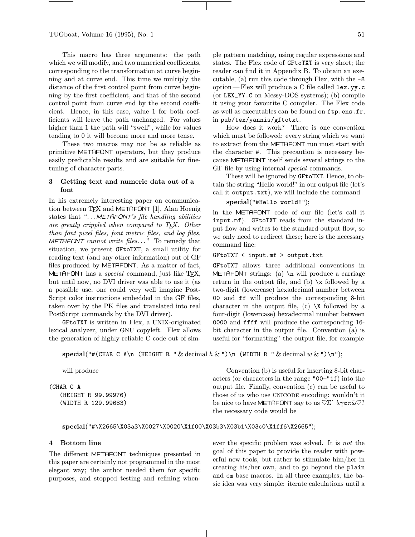TUGboat, Volume 16 (1995), No. 1  $\qquad 51$ 

This macro has three arguments: the path which we will modify, and two numerical coefficients, corresponding to the transformation at curve beginning and at curve end. This time we multiply the distance of the first control point from curve beginning by the first coefficient, and that of the second control point from curve end by the second coefficient. Hence, in this case, value 1 for both coefficients will leave the path unchanged. For values higher than 1 the path will "swell", while for values tending to 0 it will become more and more tense.

These two macros may not be as reliable as primitive METAFONT operators, but they produce easily predictable results and are suitable for finetuning of character parts.

# 3 Getting text and numeric data out of a font

In his extremely interesting paper on communication between T<sub>E</sub>X and METAFONT [1], Alan Hoenig states that "... METAFONT's file handling abilities are greatly crippled when compared to TFX. Other than font pixel files, font metric files, and log files,  $METAFONT$  cannot write files..." To remedy that situation, we present GFtoTXT, a small utility for reading text (and any other information) out of GF files produced by METAFONT. As a matter of fact, METAFONT has a *special* command, just like T<sub>F</sub>X, but until now, no DVI driver was able to use it (as a possible use, one could very well imagine Post-Script color instructions embedded in the GF files, taken over by the PK files and translated into real PostScript commands by the DVI driver).

GFtoTXT is written in Flex, a UNIX-originated lexical analyzer, under GNU copyleft. Flex allows the generation of highly reliable C code out of sim-

ple pattern matching, using regular expressions and states. The Flex code of GFtoTXT is very short; the reader can find it in Appendix B. To obtain an executable, (a) run this code through Flex, with the -8 option— Flex will produce a C file called lex.yy.c (or LEX\_YY.C on Messy-DOS systems); (b) compile it using your favourite C compiler. The Flex code as well as executables can be found on ftp.ens.fr, in pub/tex/yannis/gftotxt.

How does it work? There is one convention which must be followed: every string which we want to extract from the METAFONT run must start with the character #. This precaution is necessary because METAFONT itself sends several strings to the GF file by using internal special commands.

These will be ignored by GFtoTXT. Hence, to obtain the string "Hello world!" in our output file (let's call it output.txt), we will include the command

### special("#Hello world!");

in the METAFONT code of our file (let's call it input.mf). GFtoTXT reads from the standard input flow and writes to the standard output flow, so we only need to redirect these; here is the necessary command line:

#### GFtoTXT < input.mf > output.txt

GFtoTXT allows three additional conventions in METAFONT strings: (a)  $\infty$  will produce a carriage return in the output file, and (b)  $\mathbf x$  followed by a two-digit (lowercase) hexadecimal number between 00 and ff will produce the corresponding 8-bit character in the output file,  $(c) \ X$  followed by a four-digit (lowercase) hexadecimal number between 0000 and ffff will produce the corresponding 16 bit character in the output file. Convention (a) is useful for "formatting" the output file, for example

special("#(CHAR C A\n (HEIGHT R " & decimal  $h \& \vee$ )\n (WIDTH R " & decimal  $w \& \vee$ )\n");

will produce

(CHAR C A (HEIGHT R 99.99976) (WIDTH R 129.99683)

Convention (b) is useful for inserting 8-bit characters (or characters in the range "00–"1f) into the output file. Finally, convention (c) can be useful to those of us who use UNICODE encoding: wouldn't it be nice to have METAFONT say to us  $\heartsuit\Sigma$ <sup>,</sup> άγαπῶ $\heartsuit$ ? the necessary code would be

# special("#\X2665\X03a3\X0027\X0020\X1f00\X03b3\X03b1\X03c0\X1ff6\X2665");

#### 4 Bottom line

The different METAFONT techniques presented in this paper are certainly not programmed in the most elegant way; the author needed them for specific purposes, and stopped testing and refining whenever the specific problem was solved. It is not the goal of this paper to provide the reader with powerful new tools, but rather to stimulate him/her in creating his/her own, and to go beyond the plain and cm base macros. In all three examples, the basic idea was very simple: iterate calculations until a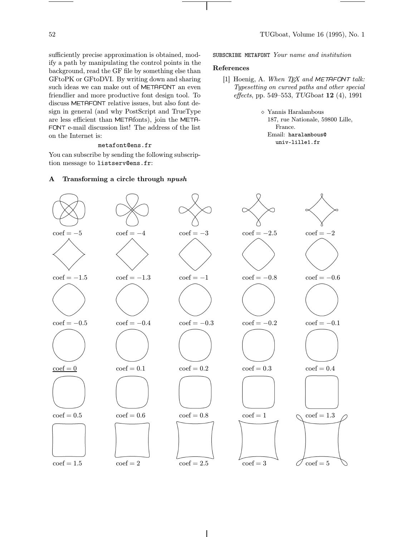sufficiently precise approximation is obtained, modify a path by manipulating the control points in the background, read the GF file by something else than GFtoPK or GFtoDVI. By writing down and sharing such ideas we can make out of METAFONT an even friendlier and more productive font design tool. To discuss METAFONT relative issues, but also font design in general (and why PostScript and TrueType are less efficient than METAfonts), join the META-FONT e-mail discussion list! The address of the list on the Internet is:

# metafont@ens.fr

You can subscribe by sending the following subscription message to listserv@ens.fr:

SUBSCRIBE METAFONT Your name and institution

#### References

- [1] Hoenig, A. When  $T_F X$  and METAFONT talk: Typesetting on curved paths and other special effects, pp. 549–553, TUGboat 12 (4), 1991
	- $\diamond$  Yannis Haralambous 187, rue Nationale, 59800 Lille, France. Email: haralambous@ univ-lille1.fr



### A Transforming a circle through npush